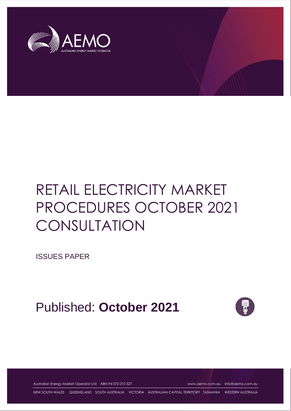

ISSUES PAPER

Published: **October 2021**



Australian Energy Market Operator Ltd ABN 94 072 010 327 [www.aemo.com.au](http://www.aemo.com.au/) [info@aemo.com.au](mailto:info@aemo.com.au)

NEW SOUTH WALES QUEENSLAND SOUTH AUSTRALIA VICTORIA AUSTRALIAN CAPITAL TERRITORY TASMANIA WESTERN AUSTRALIA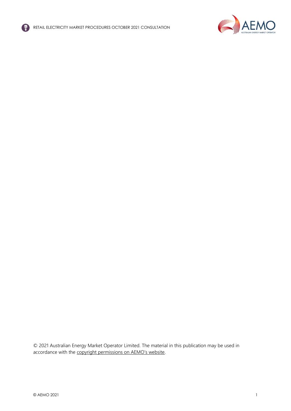



© 2021 Australian Energy Market Operator Limited. The material in this publication may be used in accordance with the [copyright permissions on AEMO's website](http://aemo.com.au/Privacy_and_Legal_Notices/Copyright_Permissions_Notice).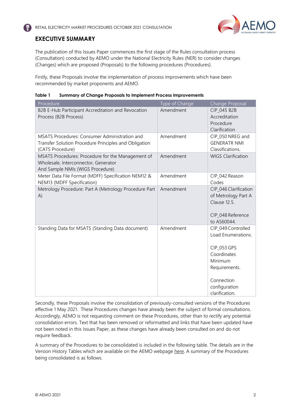

## <span id="page-2-0"></span>**EXECUTIVE SUMMARY**

The publication of this Issues Paper commences the first stage of the Rules consultation process (Consultation) conducted by AEMO under the National Electricity Rules (NER) to consider changes (Changes) which are proposed (Proposals) to the following procedures (Procedures).

Firstly, these Proposals involve the implementation of process improvements which have been recommended by market proponents and AEMO.

| Table 1 |  |  | <b>Summary of Change Proposals to Implement Process Improvements</b> |
|---------|--|--|----------------------------------------------------------------------|
|         |  |  |                                                                      |

| Procedure                                                                                                                         | Type of Change | Change Proposal                                                                                                                                     |
|-----------------------------------------------------------------------------------------------------------------------------------|----------------|-----------------------------------------------------------------------------------------------------------------------------------------------------|
| B2B E-Hub Participant Accreditation and Revocation<br>Process (B2B Process)                                                       | Amendment      | CIP_045 B2B<br>Accreditation<br>Procedure<br>Clarification                                                                                          |
| <b>MSATS Procedures: Consumer Administration and</b><br>Transfer Solution Procedure Principles and Obligation<br>(CATS Procedure) | Amendment      | CIP_050 NREG and<br><b>GENERATR NMI</b><br>Classifications.                                                                                         |
| MSATS Procedures: Procedure for the Management of<br>Wholesale, Interconnector, Generator<br>And Sample NMIs (WIGS Procedure)     | Amendment      | <b>WIGS Clarification</b>                                                                                                                           |
| Meter Data File Format (MDFF) Specification NEM12 &<br>NEM13 (MDFF Specification)                                                 | Amendment      | CIP_042 Reason<br>Codes                                                                                                                             |
| Metrology Procedure: Part A (Metrology Procedure Part<br>A)                                                                       | Amendment      | CIP_046 Clarification<br>of Metrology Part A<br>Clause 12.5.<br>CIP 048 Reference<br>to AS60044.                                                    |
| Standing Data for MSATS (Standing Data document)                                                                                  | Amendment      | CIP_049 Controlled<br>Load Enumerations.<br>CIP_053 GPS<br>Coordinates<br>Minimum<br>Requirements.<br>Connection<br>configuration<br>clarification. |

Secondly, these Proposals involve the consolidation of previously-consulted versions of the Procedures effective 1 May 2021. These Procedures changes have already been the subject of formal consultations. Accordingly, AEMO is not requesting comment on these Procedures, other than to rectify any potential consolidation errors. Text that has been removed or reformatted and links that have been updated have not been noted in this Issues Paper, as these changes have already been consulted on and do not require feedback.

A summary of the Procedures to be consolidated is included in the following table. The details are in the Version History Tables which are available on the AEMO webpage [here.](https://aemo.com.au/en/consultations/industry-forums-and-working-groups/list-of-industry-forums-and-working-groups/electricity-retail-consultative-forum) A summary of the Procedures being consolidated is as follows.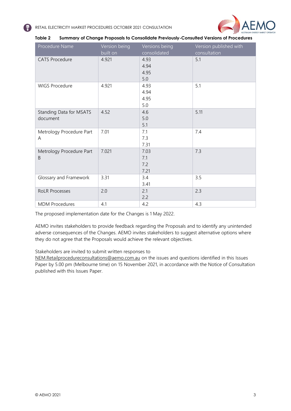

| Procedure Name                      | Version being<br>built on | Versions being<br>consolidated | Version published with<br>consultation |
|-------------------------------------|---------------------------|--------------------------------|----------------------------------------|
| <b>CATS Procedure</b>               | 4.921                     | 4.93<br>4.94<br>4.95           | 5.1                                    |
|                                     |                           | 5.0                            |                                        |
| <b>WIGS Procedure</b>               | 4.921                     | 4.93<br>4.94<br>4.95<br>5.0    | 5.1                                    |
| Standing Data for MSATS<br>document | 4.52                      | 4.6<br>5.0<br>5.1              | 5.11                                   |
| Metrology Procedure Part<br>Α       | 7.01                      | 7.1<br>7.3<br>7.31             | 7.4                                    |
| Metrology Procedure Part<br>B       | 7.021                     | 7.03<br>7.1<br>7.2<br>7.21     | 7.3                                    |
| Glossary and Framework              | 3.31                      | 3.4<br>3.41                    | 3.5                                    |
| <b>RoLR Processes</b>               | 2.0                       | 2.1<br>2.2                     | 2.3                                    |
| <b>MDM Procedures</b>               | 4.1                       | 4.2                            | 4.3                                    |

| Table 2 | Summary of Change Proposals to Consolidate Previously-Consulted Versions of Procedures |  |  |
|---------|----------------------------------------------------------------------------------------|--|--|
|         |                                                                                        |  |  |

The proposed implementation date for the Changes is 1 May 2022.

AEMO invites stakeholders to provide feedback regarding the Proposals and to identify any unintended adverse consequences of the Changes. AEMO invites stakeholders to suggest alternative options where they do not agree that the Proposals would achieve the relevant objectives.

Stakeholders are invited to submit written responses to

[NEM.Retailprocedureconsultations@aemo.com.au](mailto:%3cNEM.Retailprocedureconsultations@aemo.com.au) on the issues and questions identified in this Issues Paper by 5.00 pm (Melbourne time) on 15 November 2021, in accordance with the Notice of Consultation published with this Issues Paper.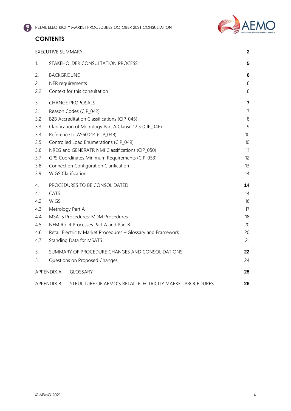# **CONTENTS**

|     | <b>EXECUTIVE SUMMARY</b>                                                | $\mathbf{2}$    |  |  |
|-----|-------------------------------------------------------------------------|-----------------|--|--|
| 1.  | STAKEHOLDER CONSULTATION PROCESS                                        | 5               |  |  |
| 2.  | <b>BACKGROUND</b>                                                       |                 |  |  |
| 2.1 | NER requirements                                                        | 6               |  |  |
| 2.2 | Context for this consultation                                           | 6               |  |  |
| 3.  | <b>CHANGE PROPOSALS</b>                                                 | 7               |  |  |
| 3.1 | Reason Codes (CIP_042)                                                  | $\overline{7}$  |  |  |
| 3.2 | B2B Accreditation Classifications (CIP_045)                             | 8               |  |  |
| 3.3 | Clarification of Metrology Part A Clause 12.5 (CIP_046)                 | 9               |  |  |
| 3.4 | Reference to AS60044 (CIP_048)                                          | 10              |  |  |
| 3.5 | Controlled Load Enumerations (CIP_049)                                  | 10 <sup>°</sup> |  |  |
| 3.6 | NREG and GENERATR NMI Classifications (CIP_050)                         | 11              |  |  |
| 3.7 | GPS Coordinates Minimum Requirements (CIP_053)                          | 12              |  |  |
| 3.8 | Connection Configuration Clarification                                  |                 |  |  |
| 3.9 | <b>WIGS Clarification</b>                                               | 14              |  |  |
| 4.  | PROCEDURES TO BE CONSOLIDATED                                           | 14              |  |  |
| 4.1 | CATS                                                                    | 14              |  |  |
| 4.2 | <b>WIGS</b>                                                             |                 |  |  |
| 4.3 | Metrology Part A                                                        | 17              |  |  |
| 4.4 | <b>MSATS Procedures: MDM Procedures</b>                                 | 18              |  |  |
| 4.5 | NEM RoLR Processes Part A and Part B<br>20                              |                 |  |  |
| 4.6 | Retail Electricity Market Procedures - Glossary and Framework           | 20              |  |  |
| 4.7 | Standing Data for MSATS                                                 | 21              |  |  |
| 5.  | SUMMARY OF PROCEDURE CHANGES AND CONSOLIDATIONS                         | 22              |  |  |
| 5.1 | Questions on Proposed Changes                                           | 24              |  |  |
|     | APPENDIX A.<br>GLOSSARY                                                 | 25              |  |  |
|     | APPENDIX B.<br>STRUCTURE OF AEMO'S RETAIL ELECTRICITY MARKET PROCEDURES | 26              |  |  |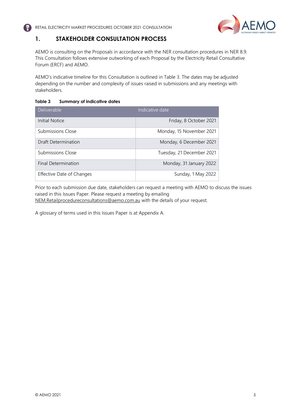

## <span id="page-5-0"></span>**1. STAKEHOLDER CONSULTATION PROCESS**

AEMO is consulting on the Proposals in accordance with the NER consultation procedures in NER 8.9. This Consultation follows extensive outworking of each Proposal by the Electricity Retail Consultative Forum (ERCF) and AEMO.

AEMO's indicative timeline for this Consultation is outlined in Table 3. The dates may be adjusted depending on the number and complexity of issues raised in submissions and any meetings with stakeholders.

#### **Table 3 Summary of indicative dates**

| <b>Deliverable</b>        | Indicative date           |
|---------------------------|---------------------------|
| Initial Notice            | Friday, 8 October 2021    |
| Submissions Close         | Monday, 15 November 2021  |
| Draft Determination       | Monday, 6 December 2021   |
| <b>Submissions Close</b>  | Tuesday, 21 December 2021 |
| Final Determination       | Monday, 31 January 2022   |
| Effective Date of Changes | Sunday, 1 May 2022        |

Prior to each submission due date, stakeholders can request a meeting with AEMO to discuss the issues raised in this Issues Paper. Please request a meeting by emailing

[NEM.Retailprocedureconsultations@aemo.com.au](mailto:NEM.Retailprocedureconsultations@aemo.com.au) with the details of your request.

A glossary of terms used in this Issues Paper is at Appendix A.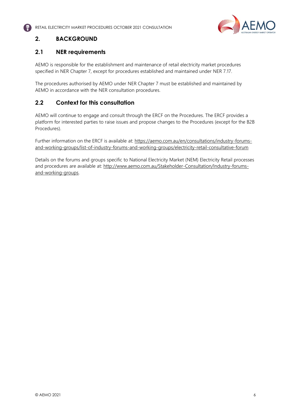

# <span id="page-6-0"></span>**2. BACKGROUND**

## <span id="page-6-1"></span>**2.1 NER requirements**

AEMO is responsible for the establishment and maintenance of retail electricity market procedures specified in NER Chapter 7, except for procedures established and maintained under NER 7.17.

The procedures authorised by AEMO under NER Chapter 7 must be established and maintained by AEMO in accordance with the NER consultation procedures.

## <span id="page-6-2"></span>**2.2 Context for this consultation**

AEMO will continue to engage and consult through the ERCF on the Procedures. The ERCF provides a platform for interested parties to raise issues and propose changes to the Procedures (except for the B2B Procedures).

Further information on the ERCF is available at: [https://aemo.com.au/en/consultations/industry-forums](https://aemo.com.au/en/consultations/industry-forums-and-working-groups/list-of-industry-forums-and-working-groups/electricity-retail-consultative-forum)[and-working-groups/list-of-industry-forums-and-working-groups/electricity-retail-consultative-forum](https://aemo.com.au/en/consultations/industry-forums-and-working-groups/list-of-industry-forums-and-working-groups/electricity-retail-consultative-forum)

Details on the forums and groups specific to National Electricity Market (NEM) Electricity Retail processes and procedures are available at: [http://www.aemo.com.au/Stakeholder-Consultation/Industry-forums](http://www.aemo.com.au/Stakeholder-Consultation/Industry-forums-and-working-groups?searchString=&tagId=%7BC96A5D96-2BA5-449C-8DE0-94C6A34DC61F%7D&sortOrder=)[and-working-groups.](http://www.aemo.com.au/Stakeholder-Consultation/Industry-forums-and-working-groups?searchString=&tagId=%7BC96A5D96-2BA5-449C-8DE0-94C6A34DC61F%7D&sortOrder=)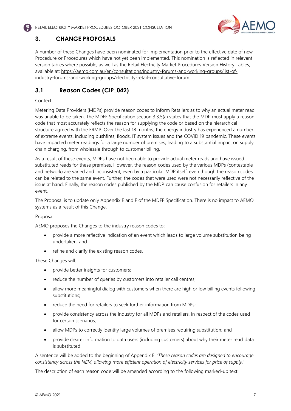

# <span id="page-7-0"></span>**3. CHANGE PROPOSALS**

A number of these Changes have been nominated for implementation prior to the effective date of new Procedure or Procedures which have not yet been implemented. This nomination is reflected in relevant version tables where possible, as well as the Retail Electricity Market Procedures Version History Tables, available at: [https://aemo.com.au/en/consultations/industry-forums-and-working-groups/list-of](https://aemo.com.au/en/consultations/industry-forums-and-working-groups/list-of-industry-forums-and-working-groups/electricity-retail-consultative-forum)[industry-forums-and-working-groups/electricity-retail-consultative-forum.](https://aemo.com.au/en/consultations/industry-forums-and-working-groups/list-of-industry-forums-and-working-groups/electricity-retail-consultative-forum) 

# <span id="page-7-1"></span>**3.1 Reason Codes (CIP\_042)**

#### Context

Metering Data Providers (MDPs) provide reason codes to inform Retailers as to why an actual meter read was unable to be taken. The MDFF Specification section 3.3.5(a) states that the MDP must apply a reason code that most accurately reflects the reason for supplying the code or based on the hierarchical structure agreed with the FRMP. Over the last 18 months, the energy industry has experienced a number of extreme events, including bushfires, floods, IT system issues and the COVID 19 pandemic. These events have impacted meter readings for a large number of premises, leading to a substantial impact on supply chain charging, from wholesale through to customer billing.

As a result of these events, MDPs have not been able to provide actual meter reads and have issued substituted reads for these premises. However, the reason codes used by the various MDPs (contestable and network) are varied and inconsistent, even by a particular MDP itself, even though the reason codes can be related to the same event. Further, the codes that were used were not necessarily reflective of the issue at hand. Finally, the reason codes published by the MDP can cause confusion for retailers in any event.

The Proposal is to update only Appendix E and F of the MDFF Specification. There is no impact to AEMO systems as a result of this Change.

#### Proposal

AEMO proposes the Changes to the industry reason codes to:

- provide a more reflective indication of an event which leads to large volume substitution being undertaken; and
- refine and clarify the existing reason codes.

#### These Changes will:

- provide better insights for customers;
- reduce the number of queries by customers into retailer call centres;
- allow more meaningful dialog with customers when there are high or low billing events following substitutions;
- reduce the need for retailers to seek further information from MDPs;
- provide consistency across the industry for all MDPs and retailers, in respect of the codes used for certain scenarios;
- allow MDPs to correctly identify large volumes of premises requiring substitution; and
- provide clearer information to data users (including customers) about why their meter read data is substituted.

A sentence will be added to the beginning of Appendix E: *'These reason codes are designed to encourage consistency across the NEM, allowing more efficient operation of electricity services for price of supply.'*

The description of each reason code will be amended according to the following marked-up text.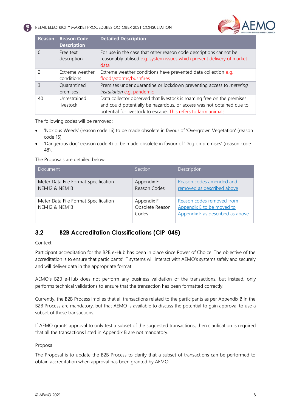

| <b>Reason</b>            | <b>Reason Code</b><br><b>Description</b> | <b>Detailed Description</b>                                                                                                                                                                                       |
|--------------------------|------------------------------------------|-------------------------------------------------------------------------------------------------------------------------------------------------------------------------------------------------------------------|
| 0                        | Free text<br>description                 | For use in the case that other reason code descriptions cannot be<br>reasonably utilised e.g. system issues which prevent delivery of market<br>data                                                              |
| $\overline{\phantom{a}}$ | Extreme weather<br>conditions            | Extreme weather conditions have prevented data collection e.g.<br>floods/storms/bushfires                                                                                                                         |
| 3                        | Quarantined<br>premises                  | Premises under quarantine or lockdown preventing access to metering<br>installation e.g. pandemic                                                                                                                 |
| 40                       | Unrestrained<br>livestock                | Data collector observed that livestock is roaming free on the premises<br>and could potentially be hazardous, or access was not obtained due to<br>potential for livestock to escape. This refers to farm animals |

The following codes will be removed:

- 'Noxious Weeds' (reason code 16) to be made obsolete in favour of 'Overgrown Vegetation' (reason code 15).
- 'Dangerous dog' (reason code 4) to be made obsolete in favour of 'Dog on premises' (reason code 48).

The Proposals are detailed below.

| Section         | Description                                            |
|-----------------|--------------------------------------------------------|
| Appendix E      | Reason codes amended and<br>removed as described above |
|                 |                                                        |
| Appendix F      | Reason codes removed from                              |
| Obsolete Reason | Appendix E to be moved to                              |
| Codes           | Appendix F as described as above                       |
|                 | Reason Codes                                           |

## <span id="page-8-0"></span>**3.2 B2B Accreditation Classifications (CIP\_045)**

Context

Participant accreditation for the B2B e-Hub has been in place since Power of Choice. The objective of the accreditation is to ensure that participants' IT systems will interact with AEMO's systems safely and securely and will deliver data in the appropriate format.

AEMO's B2B e-Hub does not perform any business validation of the transactions, but instead, only performs technical validations to ensure that the transaction has been formatted correctly.

Currently, the B2B Process implies that all transactions related to the participants as per Appendix B in the B2B Process are mandatory, but that AEMO is available to discuss the potential to gain approval to use a subset of these transactions.

If AEMO grants approval to only test a subset of the suggested transactions, then clarification is required that all the transactions listed in Appendix B are not mandatory.

#### Proposal

The Proposal is to update the B2B Process to clarify that a subset of transactions can be performed to obtain accreditation when approval has been granted by AEMO.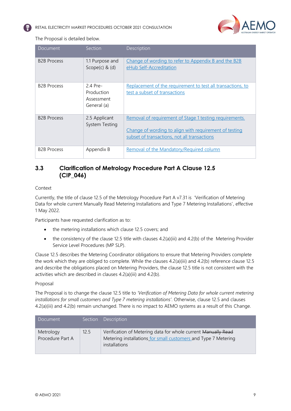

The Proposal is detailed below.

| Document           | <b>Section</b>                                      | Description                                                                                                                                                       |
|--------------------|-----------------------------------------------------|-------------------------------------------------------------------------------------------------------------------------------------------------------------------|
| <b>B2B Process</b> | 1.1 Purpose and<br>$Scope(c)$ & $(d)$               | Change of wording to refer to Appendix B and the B2B<br>eHub Self-Accreditation                                                                                   |
| <b>B2B Process</b> | 2.4 Pre-<br>Production<br>Assessment<br>General (a) | Replacement of the requirement to test all transactions, to<br>test a subset of transactions                                                                      |
| <b>B2B Process</b> | 2.5 Applicant<br>System Testing                     | Removal of requirement of Stage 1 testing requirements.<br>Change of wording to align with requirement of testing<br>subset of transactions, not all transactions |
| <b>B2B Process</b> | Appendix B                                          | Removal of the Mandatory/Required column                                                                                                                          |

## <span id="page-9-0"></span>**3.3 Clarification of Metrology Procedure Part A Clause 12.5 (CIP\_046)**

#### Context

Currently, the title of clause 12.5 of the Metrology Procedure Part A v7.31 is 'Verification of Metering Data for whole current Manually Read Metering Installations and Type 7 Metering Installations', effective 1 May 2022.

Participants have requested clarification as to:

- the metering installations which clause 12.5 covers; and
- the consistency of the clause 12.5 title with clauses 4.2(a)(iii) and 4.2(b) of the Metering Provider Service Level Procedures (MP SLP).

Clause 12.5 describes the Metering Coordinator obligations to ensure that Metering Providers complete the work which they are obliged to complete. While the clauses 4.2(a)(iii) and 4.2(b) reference clause 12.5 and describe the obligations placed on Metering Providers, the clause 12.5 title is not consistent with the activities which are described in clauses 4.2(a)(iii) and 4.2(b).

#### Proposal

The Proposal is to change the clause 12.5 title to *'Verification of Metering Data for whole current metering installations for small customers and Type 7 metering installations'*. Otherwise, clause 12.5 and clauses 4.2(a)(iii) and 4.2(b) remain unchanged. There is no impact to AEMO systems as a result of this Change.

<span id="page-9-1"></span>

| Document                      |      | Section Description                                                                                                                              |
|-------------------------------|------|--------------------------------------------------------------------------------------------------------------------------------------------------|
| Metrology<br>Procedure Part A | 12.5 | Verification of Metering data for whole current Manually Read<br>Metering installations for small customers and Type 7 Metering<br>installations |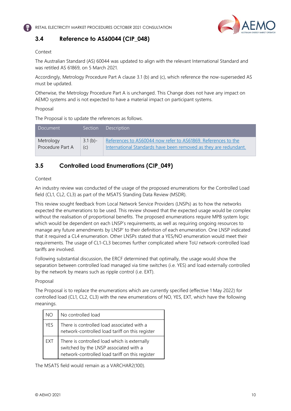

## **3.4 Reference to AS60044 (CIP\_048)**

#### Context

The Australian Standard (AS) 60044 was updated to align with the relevant International Standard and was retitled AS 61869, on 5 March 2021.

Accordingly, Metrology Procedure Part A clause 3.1 (b) and (c), which reference the now-superseded AS must be updated.

Otherwise, the Metrology Procedure Part A is unchanged. This Change does not have any impact on AEMO systems and is not expected to have a material impact on participant systems.

#### Proposal

The Proposal is to update the references as follows.

| Document         | $S$ ection | <b>Description</b>                                               |
|------------------|------------|------------------------------------------------------------------|
| Metrology        | $3.1(b)$ - | References to AS60044 now refer to AS61869. References to the    |
| Procedure Part A | (C)        | International Standards have been removed as they are redundant. |

## <span id="page-10-0"></span>**3.5 Controlled Load Enumerations (CIP\_049)**

#### Context

An industry review was conducted of the usage of the proposed enumerations for the Controlled Load field (CL1, CL2, CL3) as part of the MSATS Standing Data Review (MSDR).

This review sought feedback from Local Network Service Providers (LNSPs) as to how the networks expected the enumerations to be used. This review showed that the expected usage would be complex without the realisation of proportional benefits. The proposed enumerations require MPB system logic which would be dependent on each LNSP's requirements, as well as requiring ongoing resources to manage any future amendments by LNSP' to their definition of each enumeration. One LNSP indicated that it required a CL4 enumeration. Other LNSPs stated that a YES/NO enumeration would meet their requirements. The usage of CL1-CL3 becomes further complicated where ToU network-controlled load tariffs are involved.

Following substantial discussion, the ERCF determined that optimally, the usage would show the separation between controlled load managed via time switches (i.e. YES) and load externally controlled by the network by means such as ripple control (i.e. EXT).

#### Proposal

The Proposal is to replace the enumerations which are currently specified (effective 1 May 2022) for controlled load (CL1, CL2, CL3) with the new enumerations of NO, YES, EXT, which have the following meanings.

| NO  | No controlled load                                                                                                                        |
|-----|-------------------------------------------------------------------------------------------------------------------------------------------|
| YES | There is controlled load associated with a<br>network-controlled load tariff on this register                                             |
| EXT | There is controlled load which is externally<br>switched by the LNSP associated with a<br>network-controlled load tariff on this register |

The MSATS field would remain as a VARCHAR2(100).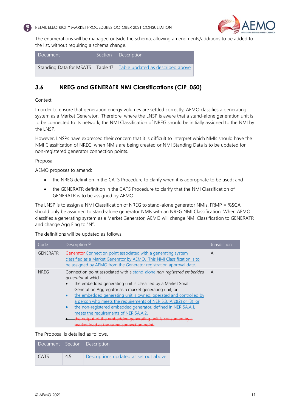



The enumerations will be managed outside the schema, allowing amendments/additions to be added to the list, without requiring a schema change.

| Document! | Section Description                                                   |
|-----------|-----------------------------------------------------------------------|
|           | Standing Data for MSATS   Table 17   Table updated as described above |

## <span id="page-11-0"></span>**3.6 NREG and GENERATR NMI Classifications (CIP\_050)**

Context

In order to ensure that generation energy volumes are settled correctly, AEMO classifies a generating system as a Market Generator. Therefore, where the LNSP is aware that a stand-alone generation unit is to be connected to its network, the NMI Classification of NREG should be initially assigned to the NMI by the LNSP.

However, LNSPs have expressed their concern that it is difficult to interpret which NMIs should have the NMI Classification of NREG, when NMIs are being created or NMI Standing Data is to be updated for non-registered generator connection points.

#### Proposal

AEMO proposes to amend:

- the NREG definition in the CATS Procedure to clarify when it is appropriate to be used; and
- the GENERATR definition in the CATS Procedure to clarify that the NMI Classification of GENERATR is to be assigned by AEMO.

The LNSP is to assign a NMI Classification of NREG to stand-alone generator NMIs. FRMP = %SGA should only be assigned to stand-alone generator NMIs with an NREG NMI Classification. When AEMO classifies a generating system as a Market Generator, AEMO will change NMI Classification to GENERATR and change Agg Flag to "N".

The definitions will be updated as follows.

| Code            | Description <sup>(2)</sup>                                                                                                                                                                                                                                                                                                                                                                                                                                                                                                                                                                                               | lurisdiction |  |
|-----------------|--------------------------------------------------------------------------------------------------------------------------------------------------------------------------------------------------------------------------------------------------------------------------------------------------------------------------------------------------------------------------------------------------------------------------------------------------------------------------------------------------------------------------------------------------------------------------------------------------------------------------|--------------|--|
| <b>GENERATR</b> | Generator Connection point associated with a generating system<br>All<br>classified as a Market Generator by AEMO. This NMI Classification is to<br>be assigned by AEMO from the Generator registration approval date.                                                                                                                                                                                                                                                                                                                                                                                                   |              |  |
| <b>NREG</b>     | Connection point associated with a stand-alone non-registered embedded<br><i>generator</i> at which:<br>the embedded generating unit is classified by a Market Small<br>Generation Aggregator as a market generating unit; or<br>the embedded generating unit is owned, operated and controlled by<br>$\bullet$<br>a person who meets the requirements of NER 5.3.1A(c)(2) or (3); or<br>the non-registered embedded generator, defined in NER 5A.A.1,<br>$\bullet$<br>meets the requirements of NER 5A.A.2.<br>the output of the embedded generating unit is consumed by a<br>market load at the same connection point. | All          |  |

The Proposal is detailed as follows.

|      |     | Document Section Description           |
|------|-----|----------------------------------------|
| CATS | 4.5 | Descriptions updated as set out above. |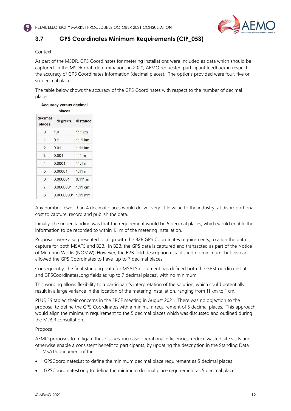

# <span id="page-12-0"></span>**3.7 GPS Coordinates Minimum Requirements (CIP\_053)**

#### Context

As part of the MSDR, GPS Coordinates for metering installations were included as data which should be captured. In the MSDR draft determinations in 2020, AEMO requested participant feedback in respect of the accuracy of GPS Coordinates information (decimal places). The options provided were four, five or six decimal places.

The table below shows the accuracy of the GPS Coordinates with respect to the number of decimal places.

| places            |                    |                   |
|-------------------|--------------------|-------------------|
| decimal<br>places | degrees            | distance          |
| $\Omega$          | 1.0                | 111 km            |
| 1                 | 0.1                | 11.1 km           |
| 2                 | 0.01               | 1.11 km           |
| 3                 | 0.001              | $111 \text{ m}$   |
| 4                 | 0.0001             | 11.1 m            |
| 5                 | 0.00001            | 1.11 <sub>m</sub> |
| 6                 | 0.000001           | $0.111 \text{ m}$ |
| 7                 | 0.0000001          | 1 11 cm           |
| 8                 | 0.00000001 1.11 mm |                   |

# **Accuracy versus decimal**

Any number fewer than 4 decimal places would deliver very little value to the industry, at disproportional cost to capture, record and publish the data.

Initially, the understanding was that the requirement would be 5 decimal places, which would enable the information to be recorded to within 1.1 m of the metering installation.

Proposals were also presented to align with the B2B GPS Coordinates requirements, to align the data capture for both MSATS and B2B. In B2B, the GPS data is captured and transacted as part of the Notice of Metering Works (NOMW). However, the B2B field description established no minimum, but instead, allowed the GPS Coordinates to have 'up to 7 decimal places'.

Consequently, the final Standing Data for MSATS document has defined both the GPSCoordinatesLat and GPSCoordinatesLong fields as 'up to 7 decimal places', with no minimum.

This wording allows flexibility to a participant's interpretation of the solution, which could potentially result in a large variance in the location of the metering installation, ranging from 11 km to 1 cm.

PLUS ES tabled their concerns in the ERCF meeting in August 2021. There was no objection to the proposal to define the GPS Coordinates with a minimum requirement of 5 decimal places. This approach would align the minimum requirement to the 5 decimal places which was discussed and outlined during the MDSR consultation.

#### Proposal

AEMO proposes to mitigate these issues, increase operational efficiencies, reduce wasted site visits and otherwise enable a consistent benefit to participants, by updating the description in the Standing Data for MSATS document of the:

- GPSCoordinatesLat to define the minimum decimal place requirement as 5 decimal places.
- GPSCoordinatesLong to define the minimum decimal place requirement as 5 decimal places.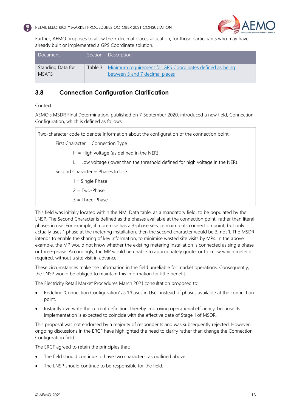



Further, AEMO proposes to allow the 7 decimal places allocation, for those participants who may have already built or implemented a GPS Coordinate solution.

| Document                          | Section Description                                                                                  |
|-----------------------------------|------------------------------------------------------------------------------------------------------|
| Standing Data for<br><b>MSATS</b> | Table 3   Minimum requirement for GPS Coordinates defined as being<br>between 5 and 7 decimal places |

## <span id="page-13-0"></span>**3.8 Connection Configuration Clarification**

#### Context

AEMO's MSDR Final Determination, published on 7 September 2020, introduced a new field, Connection Configuration, which is defined as follows.

Two-character code to denote information about the configuration of the connection point. First Character = Connection Type  $H = H$ igh voltage (as defined in the NER)  $L =$  Low voltage (lower than the threshold defined for high voltage in the NER) Second Character = Phases In Use  $1 =$  Single Phase  $2 = Two-Phase$ 3 = Three-Phase

This field was initially located within the NMI Data table, as a mandatory field, to be populated by the LNSP. The Second Character is defined as the phases available at the connection point, rather than literal phases in use. For example, if a premise has a 3-phase service main to its connection point, but only actually uses 1 phase at the metering installation, then the second character would be 3, not 1. The MSDR intends to enable the sharing of key information, to minimise wasted site visits by MPs. In the above example, the MP would not know whether the existing metering installation is connected as single phase or three-phase. Accordingly, the MP would be unable to appropriately quote, or to know which meter is required, without a site visit in advance.

These circumstances make the information in the field unreliable for market operations. Consequently, the LNSP would be obliged to maintain this information for little benefit.

The Electricity Retail Market Procedures March 2021 consultation proposed to:

- Redefine 'Connection Configuration' as 'Phases in Use', instead of phases available at the connection point.
- Instantly overwrite the current definition, thereby improving operational efficiency, because its implementation is expected to coincide with the effective date of Stage 1 of MSDR.

This proposal was not endorsed by a majority of respondents and was subsequently rejected. However, ongoing discussions in the ERCF have highlighted the need to clarify rather than change the Connection Configuration field.

The ERCF agreed to retain the principles that:

- The field should continue to have two characters, as outlined above.
- The LNSP should continue to be responsible for the field.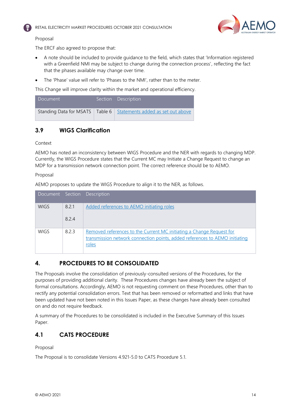



#### Proposal

The ERCF also agreed to propose that:

- A note should be included to provide guidance to the field, which states that 'Information registered with a Greenfield NMI may be subject to change during the connection process', reflecting the fact that the phases available may change over time.
- The 'Phase' value will refer to 'Phases to the NMI', rather than to the meter.

This Change will improve clarity within the market and operational efficiency.

| I Document' | Section Description                                                   |
|-------------|-----------------------------------------------------------------------|
|             | Standing Data for MSATS   Table 6   Statements added as set out above |

## <span id="page-14-0"></span>**3.9 WIGS Clarification**

Context

AEMO has noted an inconsistency between WIGS Procedure and the NER with regards to changing MDP. Currently, the WIGS Procedure states that the Current MC may Initiate a Change Request to change an MDP for a transmission network connection point. The correct reference should be to AEMO.

Proposal

AEMO proposes to update the WIGS Procedure to align it to the NER, as follows.

|             |       | Document Section Description                                                                                                                                 |
|-------------|-------|--------------------------------------------------------------------------------------------------------------------------------------------------------------|
| <b>WIGS</b> | 8.2.1 | Added references to AEMO initiating roles                                                                                                                    |
|             | 824   |                                                                                                                                                              |
| <b>WIGS</b> | 823   | Removed references to the Current MC initiating a Change Request for<br>transmission network connection points, added references to AEMO initiating<br>roles |

## <span id="page-14-1"></span>**4. PROCEDURES TO BE CONSOLIDATED**

The Proposals involve the consolidation of previously-consulted versions of the Procedures, for the purposes of providing additional clarity. These Procedures changes have already been the subject of formal consultations. Accordingly, AEMO is not requesting comment on these Procedures, other than to rectify any potential consolidation errors. Text that has been removed or reformatted and links that have been updated have not been noted in this Issues Paper, as these changes have already been consulted on and do not require feedback.

A summary of the Procedures to be consolidated is included in the Executive Summary of this Issues Paper.

## <span id="page-14-2"></span>**4.1 CATS PROCEDURE**

Proposal

The Proposal is to consolidate Versions 4.921-5.0 to CATS Procedure 5.1.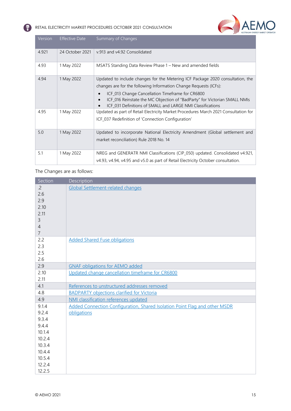

| Version | <b>Effective Date</b> | Summary of Changes                                                                                                                                                                          |
|---------|-----------------------|---------------------------------------------------------------------------------------------------------------------------------------------------------------------------------------------|
| 4.921   | 24 October 2021       | v.913 and v4.92 Consolidated                                                                                                                                                                |
| 4.93    | 1 May 2022            | MSATS Standing Data Review Phase 1 – New and amended fields                                                                                                                                 |
| 4.94    | 1 May 2022            | Updated to include changes for the Metering ICF Package 2020 consultation, the                                                                                                              |
|         |                       | changes are for the following Information Change Requests (ICFs):                                                                                                                           |
|         |                       | ICF_013 Change Cancellation Timeframe for CR6800<br>ICF_016 Reinstate the MC Objection of "BadParty" for Victorian SMALL NMIs<br>ICF 031 Definitions of SMALL and LARGE NMI Classifications |
| 4.95    | 1 May 2022            | Updated as part of Retail Electricity Market Procedures March 2021 Consultation for                                                                                                         |
|         |                       | ICF_037 Redefinition of 'Connection Configuration'                                                                                                                                          |
| 5.0     | 1 May 2022            | Updated to incorporate National Electricity Amendment (Global settlement and                                                                                                                |
|         |                       | market reconciliation) Rule 2018 No. 14                                                                                                                                                     |
| 5.1     | 1 May 2022            | NREG and GENERATR NMI Classifications (CIP_050) updated. Consolidated v4.921,                                                                                                               |
|         |                       | v4.93, v4.94, v4.95 and v5.0 as part of Retail Electricity October consultation.                                                                                                            |

The Changes are as follows:

Q

| Section                                                                           | Description                                                                |
|-----------------------------------------------------------------------------------|----------------------------------------------------------------------------|
| $\cdot$ 2.<br>2.6<br>2.9<br>2.10<br>2.11<br>3<br>$\overline{4}$<br>$\overline{7}$ | <b>Global Settlement-related changes</b>                                   |
| 2.2<br>2.3<br>2.5<br>2.6                                                          | <b>Added Shared Fuse obligations</b>                                       |
| 2.9                                                                               | <b>GNAF obligations for AEMO added</b>                                     |
| 2.10<br>2.11                                                                      | Updated change cancellation timeframe for CR6800                           |
| 4.1                                                                               | References to unstructured addresses removed                               |
| 4.8                                                                               | <b>BADPARTY objections clarified for Victoria</b>                          |
| 4.9                                                                               | NMI classification references updated                                      |
| 9.1.4                                                                             | Added Connection Configuration, Shared Isolation Point Flag and other MSDR |
| 9.2.4                                                                             | obligations                                                                |
| 9.3.4                                                                             |                                                                            |
| 9.4.4                                                                             |                                                                            |
| 10.1.4                                                                            |                                                                            |
| 10.2.4<br>10.3.4                                                                  |                                                                            |
| 10.4.4                                                                            |                                                                            |
| 10.5.4                                                                            |                                                                            |
| 12.2.4                                                                            |                                                                            |
| 12.2.5                                                                            |                                                                            |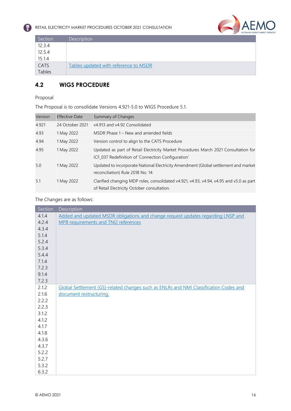



| Section | <b>Description</b>                    |
|---------|---------------------------------------|
| 12.3.4  |                                       |
| 12.5.4  |                                       |
| 15.1.4  |                                       |
| CATS    | Tables updated with reference to MSDR |
| Tables  |                                       |

## <span id="page-16-0"></span>**4.2 WIGS PROCEDURE**

#### Proposal

The Proposal is to consolidate Versions 4.921-5.0 to WIGS Procedure 5.1.

| Version | <b>Effective Date</b> | Summary of Changes                                                                                                                        |
|---------|-----------------------|-------------------------------------------------------------------------------------------------------------------------------------------|
| 4.921   | 24 October 2021       | v4.913 and v4.92 Consolidated                                                                                                             |
| 4.93    | 1 May 2022            | MSDR Phase 1 – New and amended fields                                                                                                     |
| 4.94    | 1 May 2022            | Version control to align to the CATS Procedure                                                                                            |
| 4.95    | 1 May 2022            | Updated as part of Retail Electricity Market Procedures March 2021 Consultation for<br>ICF_037 Redefinition of 'Connection Configuration' |
| 5.0     | 1 May 2022            | Updated to incorporate National Electricity Amendment (Global settlement and market<br>reconciliation) Rule 2018 No. 14.                  |
| 5.1     | 1 May 2022            | Clarified changing MDP roles, consolidated v4.921, v4.93, v4.94, v4.95 and v5.0 as part<br>of Retail Electricity October consultation.    |

#### The Changes are as follows:

| Section | Description                                                                           |
|---------|---------------------------------------------------------------------------------------|
| 4.1.4   | Added and updated MSDR obligations and change request updates regarding LNSP and      |
| 4.2.4   | MPB requirements and TNI2 references                                                  |
| 4.3.4   |                                                                                       |
| 5.1.4   |                                                                                       |
| 5.2.4   |                                                                                       |
| 5.3.4   |                                                                                       |
| 5.4.4   |                                                                                       |
| 7.1.4   |                                                                                       |
| 7.2.3   |                                                                                       |
| 9.1.4   |                                                                                       |
| 7.2.3   |                                                                                       |
| 2.1.2   | Global Settlement (GS)-related changes such as ENLRs and NMI Classification Codes and |
| 2.1.6   | document restructuring.                                                               |
| 2.2.2   |                                                                                       |
| 2.2.3   |                                                                                       |
| 3.1.2   |                                                                                       |
| 4.1.2   |                                                                                       |
| 4.1.7   |                                                                                       |
| 4.1.8   |                                                                                       |
| 4.3.6   |                                                                                       |
| 4.3.7   |                                                                                       |
| 5.2.2   |                                                                                       |
| 5.2.7   |                                                                                       |
| 5.3.2   |                                                                                       |
| 6.3.2   |                                                                                       |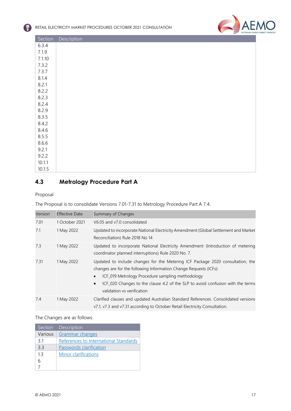

| Section | Description |
|---------|-------------|
| 6.3.4   |             |
| 7.1.9   |             |
| 7.1.10  |             |
| 7.3.2   |             |
| 7.3.7   |             |
| 8.1.4   |             |
| 8.2.1   |             |
| 8.2.2   |             |
| 8.2.3   |             |
| 8.2.4   |             |
| 8.2.9   |             |
| 8.3.5   |             |
| 8.4.2   |             |
| 8.4.6   |             |
| 8.5.5   |             |
| 8.6.6   |             |
| 9.2.1   |             |
| 9.2.2   |             |
| 10.1.1  |             |
| 10.1.5  |             |

# <span id="page-17-0"></span>**4.3 Metrology Procedure Part A**

#### Proposal

## The Proposal is to consolidate Versions 7.01-7.31 to Metrology Procedure Part A 7.4.

| Version | <b>Effective Date</b> | Summary of Changes                                                                                                                                                                                                                                                                                                      |
|---------|-----------------------|-------------------------------------------------------------------------------------------------------------------------------------------------------------------------------------------------------------------------------------------------------------------------------------------------------------------------|
| 7.01    | 1 October 2021        | V6.05 and v7.0 consolidated                                                                                                                                                                                                                                                                                             |
| 7.1     | 1 May 2022            | Updated to incorporate National Electricity Amendment (Global Settlement and Market<br>Reconciliation) Rule 2018 No 14                                                                                                                                                                                                  |
| 7.3     | 1 May 2022            | Updated to incorporate National Electricity Amendment (Introduction of metering<br>coordinator planned interruptions) Rule 2020 No. 7.                                                                                                                                                                                  |
| 7.31    | 1 May 2022            | Updated to include changes for the Metering ICF Package 2020 consultation, the<br>changes are for the following Information Change Requests (ICFs):<br>ICF_019 Metrology Procedure sampling methodology<br>ICF_020 Changes to the clause 4.2 of the SLP to avoid confusion with the terms<br>validation vs verification |
| 7.4     | 1 May 2022            | Clarified clauses and updated Australian Standard References. Consolidated versions<br>v7.1, v7.3 and v7.31 according to October Retail Electricity Consultation.                                                                                                                                                       |

#### The Changes are as follows.

| Section | Description                           |
|---------|---------------------------------------|
| Various | Grammar changes                       |
| 3.1     | References to International Standards |
| 3.3     | Passwords clarification               |
| 13      | Minor clarifications                  |
|         |                                       |
|         |                                       |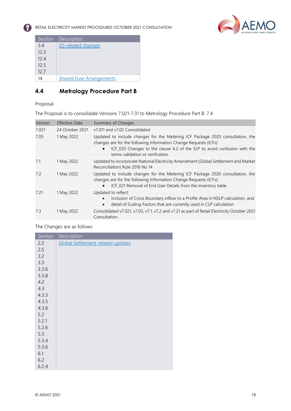

| Section | Description                     |
|---------|---------------------------------|
| 3.4     | <b>GS-related changes</b>       |
| 12.3    |                                 |
| 12.4    |                                 |
| 12.5    |                                 |
| 12.7    |                                 |
| 14      | <b>Shared Fuse Arrangements</b> |

# <span id="page-18-0"></span>**4.4 Metrology Procedure Part B**

## Proposal

The Proposal is to consolidate Versions 7.021-7.31 to Metrology Procedure Part B. 7.4

| Version | <b>Effective Date</b> | Summary of Changes                                                                                                                                                                                                                                                  |
|---------|-----------------------|---------------------------------------------------------------------------------------------------------------------------------------------------------------------------------------------------------------------------------------------------------------------|
| 7.021   | 24 October 2021       | v7.011 and v7.02 Consolidated                                                                                                                                                                                                                                       |
| 7.03    | 1 May 2022            | Updated to include changes for the Metering ICF Package 2020 consultation, the<br>changes are for the following Information Change Requests (ICFs):<br>ICF_020 Changes to the clause 4.2 of the SLP to avoid confusion with the<br>terms validation vs verification |
| 7.1     | 1 May 2022            | Updated to incorporate National Electricity Amendment (Global Settlement and Market<br>Reconciliation) Rule 2018 No 14                                                                                                                                              |
| 7.2     | 1 May 2022            | Updated to include changes for the Metering ICF Package 2020 consultation, the<br>changes are for the following Information Change Requests (ICFs):<br>ICF 021 Removal of End User Details from the Inventory table                                                 |
| 7.21    | 1 May 2022            | Updated to reflect:<br>inclusion of Cross Boundary inflow to a Profile Area in NSLP calculation, and<br>detail of Scaling Factors that are currently used in CLP calculation<br>$\bullet$                                                                           |
| 7.3     | 1 May 2022            | Consolidated v7.021, v7.03, v7.1, v7.2 and v7.21 as part of Retail Electricity October 2021<br>Consultation.                                                                                                                                                        |

#### The Changes are as follows:

| Section | Description                       |
|---------|-----------------------------------|
| 2.2     | Global Settlement-related updates |
| 2.5     |                                   |
| 3.2     |                                   |
| 3.3     |                                   |
| 3.3.6   |                                   |
| 3.3.8   |                                   |
| 4.2     |                                   |
| 4.3     |                                   |
| 4.3.3   |                                   |
| 4.3.5   |                                   |
| 4.3.6   |                                   |
| 5.2     |                                   |
| 5.2.1   |                                   |
| 5.2.6   |                                   |
| 5.3     |                                   |
| 5.3.4   |                                   |
| 5.3.6   |                                   |
| 6.1     |                                   |
| 6.2     |                                   |
| 6.2.4   |                                   |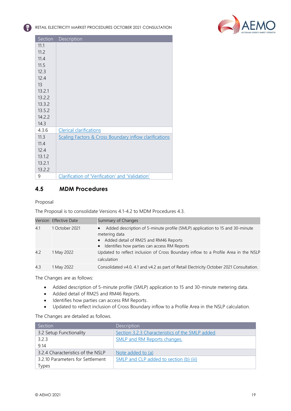

| Section | Description                                            |
|---------|--------------------------------------------------------|
| 11.1    |                                                        |
| 11.2    |                                                        |
| 11.4    |                                                        |
| 11.5    |                                                        |
| 12.3    |                                                        |
| 12.4    |                                                        |
| 13      |                                                        |
| 13.2.1  |                                                        |
| 13.2.2  |                                                        |
| 13.3.2  |                                                        |
| 13.5.2  |                                                        |
| 14.2.2  |                                                        |
| 14.3    |                                                        |
| 4.3.6   | <b>Clerical clarifications</b>                         |
| 11.3    | Scaling Factors & Cross Boundary inflow clarifications |
| 11.4    |                                                        |
| 12.4    |                                                        |
| 13.1.2  |                                                        |
| 13.2.1  |                                                        |
| 13.2.2  |                                                        |
| 9       | Clarification of 'Verification' and 'Validation'       |

## **4.5 MDM Procedures**

Proposal

The Proposal is to consolidate Versions 4.1-4.2 to MDM Procedures 4.3.

| Version | <b>Effective Date</b> | Summary of Changes                                                                                                                                                                         |
|---------|-----------------------|--------------------------------------------------------------------------------------------------------------------------------------------------------------------------------------------|
| 4.1     | 1 October 2021        | Added description of 5-minute profile (5MLP) application to 15 and 30-minute<br>metering data<br>• Added detail of RM25 and RM46 Reports<br>• Identifies how parties can access RM Reports |
| 4.2     | 1 May 2022            | Updated to reflect inclusion of Cross Boundary inflow to a Profile Area in the NSLP<br>calculation                                                                                         |
| 4.3     | 1 May 2022            | Consolidated v4.0, 4.1 and v4.2 as part of Retail Electricity October 2021 Consultation.                                                                                                   |

The Changes are as follows:

- Added description of 5-minute profile (5MLP) application to 15 and 30-minute metering data.
- Added detail of RM25 and RM46 Reports.
- Identifies how parties can access RM Reports.
- Updated to reflect inclusion of Cross Boundary inflow to a Profile Area in the NSLP calculation.

The Changes are detailed as follows.

| Section                           | Description                                     |
|-----------------------------------|-------------------------------------------------|
| 3.2 Setup Functionality           | Section 3.2.3 Characteristics of the 5MLP added |
| 3.2.3                             | <b>SMLP and RM Reports changes.</b>             |
| 9.14                              |                                                 |
| 3.2.4 Characteristics of the NSLP | Note added to (a)                               |
| 3.2.10 Parameters for Settlement  | 5MLP and CLP added to section (b) (iii)         |
| Types                             |                                                 |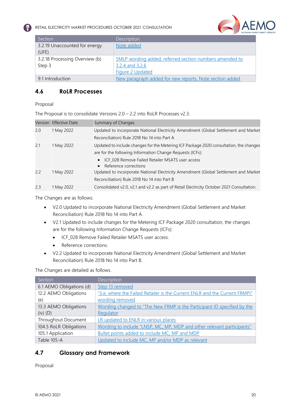

| Section                        | Description                                             |
|--------------------------------|---------------------------------------------------------|
| 3.2.19 Unaccounted for energy  | Note added                                              |
| (UFE)                          |                                                         |
| 3.2.18 Processing Overview (b) | 5MLP wording added, referred section numbers amended to |
| Step 3                         | 3.2.4 and 3.2.6                                         |
|                                | <b>Figure 2 Updated</b>                                 |
| 9.1 Introduction               | New paragraph added for new reports. Note section added |

## <span id="page-20-0"></span>**4.6 RoLR Processes**

Proposal

The Proposal is to consolidate Versions 2.0 – 2.2 into RoLR Processes v2.3.

| Version | <b>Effective Date</b> | Summary of Changes                                                                        |
|---------|-----------------------|-------------------------------------------------------------------------------------------|
| 2.0     | 1 May 2022            | Updated to incorporate National Electricity Amendment (Global Settlement and Market       |
|         |                       | Reconciliation) Rule 2018 No 14 into Part A                                               |
| 2.1     | 1 May 2022            | Updated to include changes for the Metering ICF Package 2020 consultation, the changes    |
|         |                       | are for the following Information Change Requests (ICFs):                                 |
|         |                       | ICF_028 Remove Failed Retailer MSATS user access<br>$\bullet$                             |
|         |                       | • Reference corrections                                                                   |
| 2.2     | 1 May 2022            | Updated to incorporate National Electricity Amendment (Global Settlement and Market       |
|         |                       | Reconciliation) Rule 2018 No 14 into Part B                                               |
| 2.3     | 1 May 2022            | Consolidated v2.0, v2.1 and v2.2 as part of Retail Electricity October 2021 Consultation. |

The Changes are as follows:

- V2.0 Updated to incorporate National Electricity Amendment (Global Settlement and Market Reconciliation) Rule 2018 No 14 into Part A.
- V2.1 Updated to include changes for the Metering ICF Package 2020 consultation, the changes are for the following Information Change Requests (ICFs):
	- ICF\_028 Remove Failed Retailer MSATS user access.
	- Reference corrections.
- V2.2 Updated to incorporate National Electricity Amendment (Global Settlement and Market Reconciliation) Rule 2018 No 14 into Part B.

The Changes are detailed as follows.

| Section                  | Description                                                                 |
|--------------------------|-----------------------------------------------------------------------------|
| 6.1 AEMO Obligations (d) | Step 13 removed                                                             |
| 12.2 AEMO Obligations    | "(i.e. where the Failed Retailer is the Current ENLR and the Current FRMP)" |
| (e)                      | wording removed                                                             |
| 13.3 AEMO Obligations    | Wording changed to "The New FRMP is the Participant ID specified by the     |
| $(iv)$ $(D)$             | Regulator                                                                   |
| Throughout Document      | LR updated to ENLR in various places                                        |
| 104.5 RoLR Obligations   | Wording to include "LNSP, MC, MP, MDP and other relevant participants"      |
| 105.1 Application        | Bullet points added to include MC, MP and MDP                               |
| Table 105-A              | Updated to include MC, MP and/or MDP as relevant                            |

## <span id="page-20-1"></span>**4.7 Glossary and Framework**

Proposal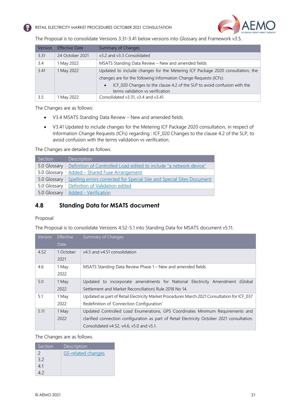



The Proposal is to consolidate Versions 3.31-3.41 below versions into Glossary and Framework v3.5.

| Version | <b>Effective Date</b> | Summary of Changes                                                                                           |  |
|---------|-----------------------|--------------------------------------------------------------------------------------------------------------|--|
| 3.31    | 24 October 2021       | v3.2 and v3.3 Consolidated                                                                                   |  |
| 3.4     | 1 May 2022            | MSATS Standing Data Review - New and amended fields                                                          |  |
| 3.41    | 1 May 2022            | Updated to include changes for the Metering ICF Package 2020 consultation, the                               |  |
|         |                       | changes are for the following Information Change Requests (ICFs):                                            |  |
|         |                       | ICF_020 Changes to the clause 4.2 of the SLP to avoid confusion with the<br>terms validation vs verification |  |
| 3.5     | l May 2022            | Consolidated v3.31, v3.4 and v3.41.                                                                          |  |

The Changes are as follows:

- V3.4 MSATS Standing Data Review New and amended fields.
- V3.41 Updated to include changes for the Metering ICF Package 2020 consultation, in respect of Information Change Requests (ICFs) regarding : ICF\_020 Changes to the clause 4.2 of the SLP, to avoid confusion with the terms validation vs verification.

The Changes are detailed as follows.

| Section      | Description                                                           |
|--------------|-----------------------------------------------------------------------|
| 5.0 Glossary | Definition of Controlled Load edited to include "a network device"    |
| 5.0 Glossary | Added - Shared Fuse Arrangement                                       |
| 5.0 Glossary | Spelling errors corrected for Special Site and Special Sites Document |
| 5.0 Glossary | Definition of Validation edited                                       |
| 5.0 Glossary | <b>Added - Verification</b>                                           |

## <span id="page-21-0"></span>**4.8 Standing Data for MSATS document**

#### Proposal

The Proposal is to consolidate Versions 4.52-5.1 into Standing Data for MSATS document v5.11.

| Version | <b>Effective</b> | Summary of Changes                                                                          |
|---------|------------------|---------------------------------------------------------------------------------------------|
|         | Date             |                                                                                             |
| 4.52    | 1 October        | v4.5 and v4.51 consolidation                                                                |
|         | 2021             |                                                                                             |
| 4.6     | 1 May            | MSATS Standing Data Review Phase 1 – New and amended fields                                 |
|         | 2022             |                                                                                             |
| 5.0     | 1 May            | Updated to incorporate amendments for National Electricity Amendment (Global                |
|         | 2022             | Settlement and Market Reconciliation) Rule 2018 No 14.                                      |
| 5.1     | 1 May            | Updated as part of Retail Electricity Market Procedures March 2021 Consultation for ICF_037 |
|         | 2022             | Redefinition of 'Connection Configuration'                                                  |
| 5.11    | 1 May            | Updated Controlled Load Enumerations, GPS Coordinates Minimum Requirements and              |
|         | 2022             | clarified connection configuration as part of Retail Electricity October 2021 consultation. |
|         |                  | Consolidated v4.52, v4.6, v5.0 and v5.1.                                                    |

#### The Changes are as follows.

| Section       | <b>Description</b>        |
|---------------|---------------------------|
| $\mathcal{P}$ | <b>GS-related changes</b> |
| 3.2           |                           |
| 4.1           |                           |
|               |                           |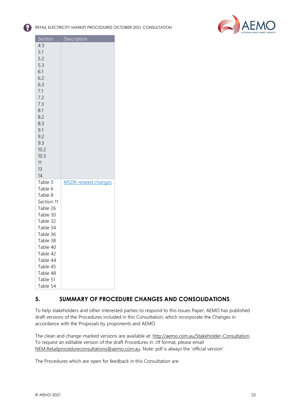



| Section              | Description                 |
|----------------------|-----------------------------|
| 4.3                  |                             |
| 5.1                  |                             |
| 5.2                  |                             |
| 5.3                  |                             |
| 6.1                  |                             |
| 6.2                  |                             |
| 6.3                  |                             |
| 7.1                  |                             |
| 7.2                  |                             |
| 7.3                  |                             |
| 8.1                  |                             |
| 8.2                  |                             |
| 8.3                  |                             |
| 9.1                  |                             |
| 9.2                  |                             |
| 9.3                  |                             |
| 10.2                 |                             |
| 10.3                 |                             |
| 11                   |                             |
| 13                   |                             |
| 14                   |                             |
| Table 3              | <b>MSDR-related changes</b> |
| Table 6              |                             |
| Table 8              |                             |
| Section 11           |                             |
| Table 26             |                             |
| Table 30             |                             |
| Table 32             |                             |
| Table 34<br>Table 36 |                             |
| Table 38             |                             |
| Table 40             |                             |
| Table 42             |                             |
| Table 44             |                             |
| Table 45             |                             |
| Table 48             |                             |
|                      |                             |
|                      |                             |
| Table 51<br>Table 54 |                             |

## <span id="page-22-0"></span>**5. SUMMARY OF PROCEDURE CHANGES AND CONSOLIDATIONS**

To help stakeholders and other interested parties to respond to this Issues Paper, AEMO has published draft versions of the Procedures included in this Consultation, which incorporate the Changes in accordance with the Proposals by proponents and AEMO.

The clean and change-marked versions are available at: [http://aemo.com.au/Stakeholder-Consultation.](http://aemo.com.au/Stakeholder-Consultation) To request an editable version of the draft Procedures in .rtf format, please email [NEM.Retailprocedureconsultations@aemo.com.au](mailto:NEM.Retailprocedureconsultations@aemo.com.au). Note: pdf is always the 'official version'.

The Procedures which are open for feedback in this Consultation are: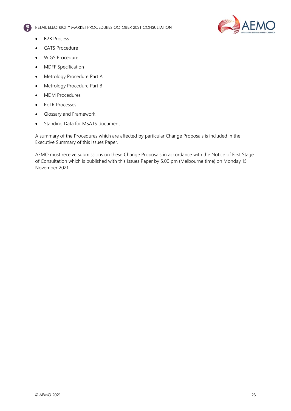

- B2B Process
- CATS Procedure
- WIGS Procedure
- MDFF Specification
- Metrology Procedure Part A
- Metrology Procedure Part B
- MDM Procedures
- RoLR Processes
- Glossary and Framework
- Standing Data for MSATS document

A summary of the Procedures which are affected by particular Change Proposals is included in the Executive Summary of this Issues Paper.

AEMO must receive submissions on these Change Proposals in accordance with the Notice of First Stage of Consultation which is published with this Issues Paper by 5.00 pm (Melbourne time) on Monday 15 November 2021.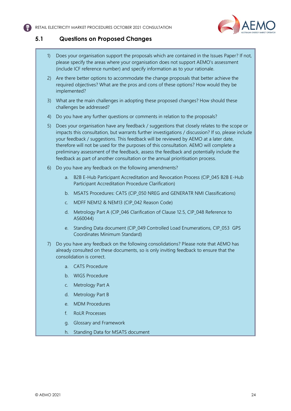

## <span id="page-24-0"></span>**5.1 Questions on Proposed Changes**

- 1) Does your organisation support the proposals which are contained in the Issues Paper? If not, please specify the areas where your organisation does not support AEMO's assessment (include ICF reference number) and specify information as to your rationale.
- 2) Are there better options to accommodate the change proposals that better achieve the required objectives? What are the pros and cons of these options? How would they be implemented?
- 3) What are the main challenges in adopting these proposed changes? How should these challenges be addressed?
- 4) Do you have any further questions or comments in relation to the proposals?
- 5) Does your organisation have any feedback / suggestions that closely relates to the scope or impacts this consultation, but warrants further investigations / discussion? If so, please include your feedback / suggestions. This feedback will be reviewed by AEMO at a later date, therefore will not be used for the purposes of this consultation. AEMO will complete a preliminary assessment of the feedback, assess the feedback and potentially include the feedback as part of another consultation or the annual prioritisation process.
- 6) Do you have any feedback on the following amendments?
	- a. B2B E-Hub Participant Accreditation and Revocation Process (CIP\_045 B2B E-Hub Participant Accreditation Procedure Clarification)
	- b. MSATS Procedures: CATS (CIP\_050 NREG and GENERATR NMI Classifications)
	- c. MDFF NEM12 & NEM13 (CIP\_042 Reason Code)
	- d. Metrology Part A (CIP\_046 Clarification of Clause 12.5, CIP\_048 Reference to AS60044)
	- e. Standing Data document (CIP\_049 Controlled Load Enumerations, CIP\_053 GPS Coordinates Minimum Standard)
- 7) Do you have any feedback on the following consolidations? Please note that AEMO has already consulted on these documents, so is only inviting feedback to ensure that the consolidation is correct.
	- a. CATS Procedure
	- b. WIGS Procedure
	- c. Metrology Part A
	- d. Metrology Part B
	- e. MDM Procedures
	- f. RoLR Processes
	- g. Glossary and Framework
	- h. Standing Data for MSATS document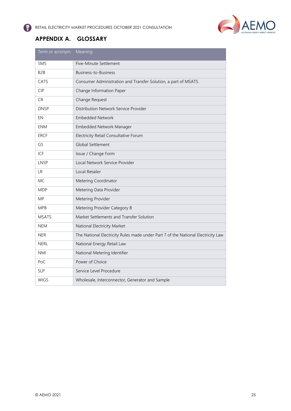

# <span id="page-25-0"></span>**APPENDIX A. GLOSSARY**

| Term or acronym  | Meaning                                                                          |
|------------------|----------------------------------------------------------------------------------|
| 5MS              | Five-Minute Settlement                                                           |
| B <sub>2</sub> B | Business-to-Business                                                             |
| CATS             | Consumer Administration and Transfer Solution, a part of MSATS.                  |
| <b>CIP</b>       | Change Information Paper                                                         |
| CR.              | Change Request                                                                   |
| <b>DNSP</b>      | Distribution Network Service Provider                                            |
| EN               | <b>Embedded Network</b>                                                          |
| <b>ENM</b>       | Embedded Network Manager                                                         |
| <b>ERCF</b>      | Electricity Retail Consultative Forum                                            |
| GS               | <b>Global Settlement</b>                                                         |
| ICF              | Issue / Change Form                                                              |
| LNSP             | Local Network Service Provider                                                   |
| <b>LR</b>        | Local Retailer                                                                   |
| MC.              | Metering Coordinator                                                             |
| <b>MDP</b>       | Metering Data Provider                                                           |
| <b>MP</b>        | Metering Provider                                                                |
| <b>MPB</b>       | Metering Provider Category B                                                     |
| <b>MSATS</b>     | Market Settlements and Transfer Solution                                         |
| <b>NEM</b>       | National Electricity Market                                                      |
| <b>NER</b>       | The National Electricity Rules made under Part 7 of the National Electricity Law |
| <b>NERL</b>      | National Energy Retail Law                                                       |
| <b>NMI</b>       | National Metering Identifier                                                     |
| PoC              | Power of Choice                                                                  |
| <b>SLP</b>       | Service Level Procedure                                                          |
| <b>WIGS</b>      | Wholesale, Interconnector, Generator and Sample                                  |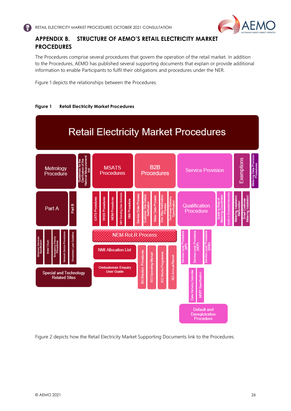

# <span id="page-26-0"></span>**APPENDIX B. STRUCTURE OF AEMO'S RETAIL ELECTRICITY MARKET PROCEDURES**

The Procedures comprise several procedures that govern the operation of the retail market. In addition to the Procedures, AEMO has published several supporting documents that explain or provide additional information to enable Participants to fulfil their obligations and procedures under the NER.

Figure 1 depicts the relationships between the Procedures.





Figure 2 depicts how the Retail Electricity Market Supporting Documents link to the Procedures.